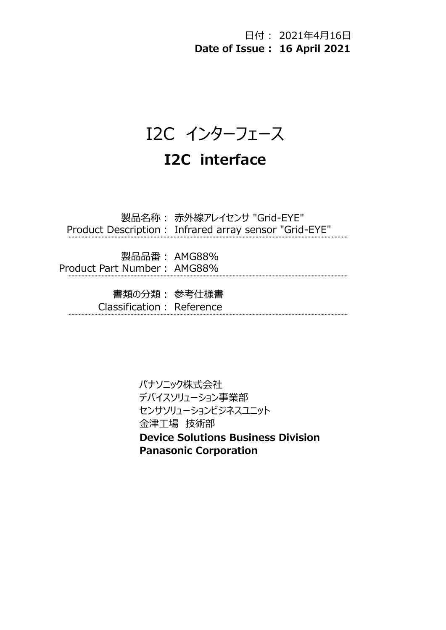日付 : 2021年4月16日 Date of Issue : 16 April 2021

I2C インターフェース

# I2C interface

製品名称: 赤外線アレイセンサ "Grid-EYE" Product Description: Infrared array sensor "Grid-EYE"

製品品番: AMG88% Product Part Number: AMG88%

> 書類の分類: 参考仕様書 Classification: Reference

> > パナソニック株式会社 デバイスソリューション事業部 センサソリューションビジネスユニット 金津工場 技術部 Device Solutions Business Division Panasonic Corporation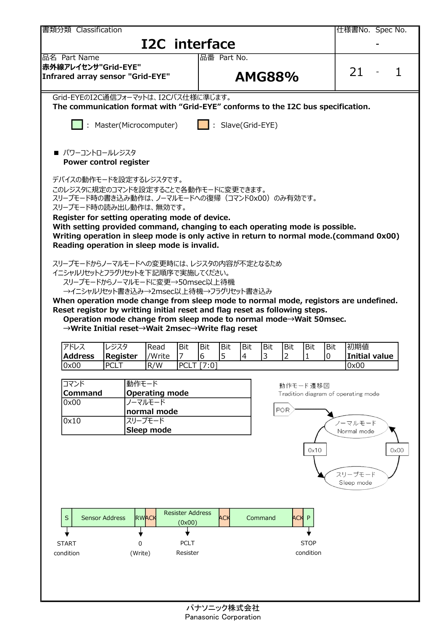| 書類分類 Classification                                                                                                                              |                         |              |                                  |                         |            |                          |                                         |                       |                  |          |                          |                                     |             | 仕様書No. Spec No. |               |  |
|--------------------------------------------------------------------------------------------------------------------------------------------------|-------------------------|--------------|----------------------------------|-------------------------|------------|--------------------------|-----------------------------------------|-----------------------|------------------|----------|--------------------------|-------------------------------------|-------------|-----------------|---------------|--|
|                                                                                                                                                  |                         |              | I2C interface                    |                         |            |                          |                                         |                       |                  |          |                          |                                     |             |                 |               |  |
| 品名 Part Name                                                                                                                                     |                         |              |                                  |                         |            | 品番 Part No.              |                                         |                       |                  |          |                          |                                     |             |                 |               |  |
| 赤外線アレイセンサ"Grid-EYE"<br>Infrared array sensor "Grid-EYE"                                                                                          |                         |              |                                  |                         |            |                          |                                         | <b>AMG88%</b>         |                  |          |                          |                                     | 21          |                 |               |  |
| Grid-EYEのI2C通信フォーマットは、I2Cバス仕様に準じます。<br>The communication format with "Grid-EYE" conforms to the I2C bus specification.                           |                         |              |                                  |                         |            |                          |                                         |                       |                  |          |                          |                                     |             |                 |               |  |
| $\ \cdot\ $ : Master(Microcomputer)                                                                                                              |                         |              |                                  |                         |            |                          | $\boxed{\phantom{a}}$ : Slave(Grid-EYE) |                       |                  |          |                          |                                     |             |                 |               |  |
| ■ パワーコントロールレジスタ<br>Power control register                                                                                                        |                         |              |                                  |                         |            |                          |                                         |                       |                  |          |                          |                                     |             |                 |               |  |
| デバイスの動作モードを設定するレジスタです。                                                                                                                           |                         |              |                                  |                         |            |                          |                                         |                       |                  |          |                          |                                     |             |                 |               |  |
| このレジスタに規定のコマンドを設定することで各動作モードに変更できます。<br>スリープモード時の書き込み動作は、ノーマルモードへの復帰(コマンド0x00)のみ有効です。<br>スリープモード時の読み出し動作は、無効です。                                  |                         |              |                                  |                         |            |                          |                                         |                       |                  |          |                          |                                     |             |                 |               |  |
| Register for setting operating mode of device.                                                                                                   |                         |              |                                  |                         |            |                          |                                         |                       |                  |          |                          |                                     |             |                 |               |  |
| With setting provided command, changing to each operating mode is possible.                                                                      |                         |              |                                  |                         |            |                          |                                         |                       |                  |          |                          |                                     |             |                 |               |  |
| Writing operation in sleep mode is only active in return to normal mode.(command 0x00)<br>Reading operation in sleep mode is invalid.            |                         |              |                                  |                         |            |                          |                                         |                       |                  |          |                          |                                     |             |                 |               |  |
|                                                                                                                                                  |                         |              |                                  |                         |            |                          |                                         |                       |                  |          |                          |                                     |             |                 |               |  |
| スリープモードからノーマルモードへの変更時には、レジスタの内容が不定となるため<br>イニシャルリセットとフラグリセットを下記順序で実施してください。                                                                      |                         |              |                                  |                         |            |                          |                                         |                       |                  |          |                          |                                     |             |                 |               |  |
| スリープモードからノーマルモードに変更→50msec以上待機                                                                                                                   |                         |              |                                  |                         |            |                          |                                         |                       |                  |          |                          |                                     |             |                 |               |  |
| →イニシャルリセット書き込み→2msec以上待機→フラグリセット書き込み                                                                                                             |                         |              |                                  |                         |            |                          |                                         |                       |                  |          |                          |                                     |             |                 |               |  |
| When operation mode change from sleep mode to normal mode, registors are undefined.                                                              |                         |              |                                  |                         |            |                          |                                         |                       |                  |          |                          |                                     |             |                 |               |  |
| Reset registor by writting initial reset and flag reset as following steps.<br>Operation mode change from sleep mode to normal mode→Wait 50msec. |                         |              |                                  |                         |            |                          |                                         |                       |                  |          |                          |                                     |             |                 |               |  |
| →Write Initial reset→Wait 2msec→Write flag reset                                                                                                 |                         |              |                                  |                         |            |                          |                                         |                       |                  |          |                          |                                     |             |                 |               |  |
|                                                                                                                                                  |                         |              |                                  |                         |            |                          |                                         |                       |                  |          |                          |                                     |             |                 |               |  |
| アドレス<br><b>Address</b>                                                                                                                           | レジスタ<br><b>Register</b> |              | Read<br>/Write                   | Bit<br>$ 7 \rangle$     | Bit<br>6   | <b>Bit</b><br>$\sqrt{5}$ | Bit<br> 4                               | Bit<br>$\overline{3}$ | Bit<br>$\vert$ 2 |          | Bit<br>$\mathbf{1}$      | Bit<br>10                           | 初期値         | Initial value   |               |  |
| 0x00                                                                                                                                             | <b>PCLT</b>             |              | R/W                              |                         | PCLT [7:0] |                          |                                         |                       |                  |          |                          |                                     | 0x00        |                 |               |  |
|                                                                                                                                                  |                         |              |                                  |                         |            |                          |                                         |                       |                  |          |                          |                                     |             |                 |               |  |
| コマンド                                                                                                                                             |                         | 動作モード        |                                  |                         |            |                          |                                         |                       |                  | 動作モード遷移図 |                          |                                     |             |                 |               |  |
| <b>Command</b><br>0x00                                                                                                                           |                         |              | <b>Operating mode</b><br>ノーマルモード |                         |            |                          |                                         |                       |                  |          |                          | Tradition diagram of operating mode |             |                 |               |  |
|                                                                                                                                                  |                         |              | normal mode                      |                         |            |                          |                                         |                       | POR              |          |                          |                                     |             |                 |               |  |
| 0x10                                                                                                                                             |                         |              | スリープモード                          |                         |            |                          |                                         |                       |                  |          |                          |                                     | ノーマルモード     |                 |               |  |
|                                                                                                                                                  |                         |              | Sleep mode                       |                         |            |                          |                                         |                       |                  |          |                          |                                     | Normal mode |                 |               |  |
|                                                                                                                                                  |                         |              |                                  |                         |            |                          |                                         |                       |                  |          | $0\times10$              |                                     |             |                 | $0 \times 00$ |  |
|                                                                                                                                                  |                         |              |                                  |                         |            |                          |                                         |                       |                  |          |                          |                                     |             |                 |               |  |
|                                                                                                                                                  |                         |              |                                  |                         |            |                          |                                         |                       |                  |          |                          |                                     | スリープモード     |                 |               |  |
|                                                                                                                                                  |                         |              |                                  |                         |            |                          |                                         |                       |                  |          |                          |                                     | Sleep mode  |                 |               |  |
|                                                                                                                                                  |                         |              |                                  |                         |            |                          |                                         |                       |                  |          |                          |                                     |             |                 |               |  |
|                                                                                                                                                  |                         |              |                                  |                         |            |                          |                                         |                       |                  |          |                          |                                     |             |                 |               |  |
| $\sf S$                                                                                                                                          | <b>Sensor Address</b>   | <b>RWACK</b> |                                  | <b>Resister Address</b> |            | ACK                      |                                         | Command               |                  | ACK P    |                          |                                     |             |                 |               |  |
|                                                                                                                                                  |                         |              |                                  | (0x00)                  |            |                          |                                         |                       |                  |          |                          |                                     |             |                 |               |  |
|                                                                                                                                                  |                         |              |                                  |                         |            |                          |                                         |                       |                  |          |                          |                                     |             |                 |               |  |
| <b>START</b>                                                                                                                                     |                         | 0            |                                  | <b>PCLT</b><br>Resister |            |                          |                                         |                       |                  |          | <b>STOP</b><br>condition |                                     |             |                 |               |  |
| condition                                                                                                                                        |                         | (Write)      |                                  |                         |            |                          |                                         |                       |                  |          |                          |                                     |             |                 |               |  |
|                                                                                                                                                  |                         |              |                                  |                         |            |                          |                                         |                       |                  |          |                          |                                     |             |                 |               |  |
|                                                                                                                                                  |                         |              |                                  |                         |            |                          |                                         |                       |                  |          |                          |                                     |             |                 |               |  |
|                                                                                                                                                  |                         |              |                                  |                         |            |                          |                                         |                       |                  |          |                          |                                     |             |                 |               |  |
|                                                                                                                                                  |                         |              |                                  |                         |            |                          |                                         |                       |                  |          |                          |                                     |             |                 |               |  |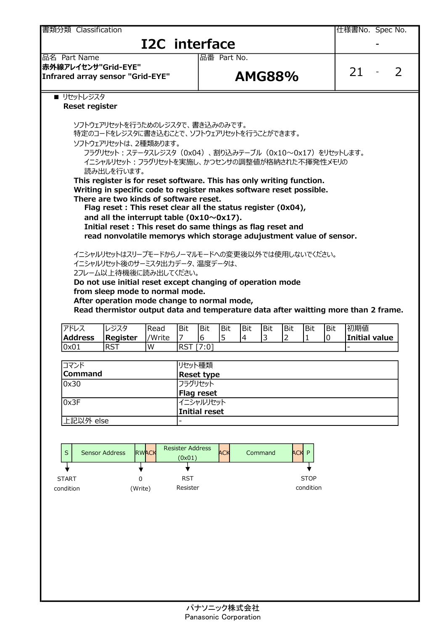<u>書類分類 Classification とのことをつくては、この形式を含むことを含むことがある。</u><br>それでは、この他様書No. Spec No. **I2C** interface 品名 Part Name 品番 Part No. 赤外線アレイセンサ"Grid-EYE"  $\frac{1}{2}$  Infrared array sensor "Grid-EYE" AMG88% 21 - 2 ■ リセットレジスタ Reset register ソフトウェアリセットを行うためのレジスタで、書き込みのみです。 特定のコードをレジスタに書き込むことで、ソフトウェアリセットを行うことができます。 ソフトウェアリセットは、2種類あります。 フラグリセット:ステータスレジスタ(0x04)、割り込みテーブル(0x10~0x17)をリセットします。 イニシャルリセット:フラグリセットを実施し、かつセンサの調整値が格納された不揮発性メモリの 読み出しを行います。 This register is for reset software. This has only writing function. Writing in specific code to register makes software reset possible. There are two kinds of software reset. Flag reset : This reset clear all the status register (0x04), and all the interrupt table  $(0x10~0x17)$ . Initial reset : This reset do same things as flag reset and read nonvolatile memorys which storage adujustment value of sensor. イニシャルリセットはスリープモードからノーマルモードへの変更後以外では使用しないでください。 イニシャルリセット後のサーミスタ出力データ、温度データは、 2フレーム以上待機後に読み出してください。 Do not use initial reset except changing of operation mode from sleep mode to normal mode. After operation mode change to normal mode, Read thermistor output data and temperature data after waitting more than 2 frame. アドレス レジスタ Read Bit Bit Bit Bit Bit Bit Bit Bit 初期値 Address Register //Write  $\begin{vmatrix} 7 & 6 & 5 \end{vmatrix}$  4  $\begin{vmatrix} 3 & 2 & 1 \end{vmatrix}$  10 | Initial value 0x01 RST W RST [7:0] コマンド マングランド マングランド マングリセット種類 しょうしょう Reset type 0x30 フラグリセット Flag reset Ox3F 2000 2000 2000 2000 2000 2000 2010 2020 2020 2020 2020 2020 2020 2020 2020 2020 2020 2020 2020 2020 2020 2 Initial reset 上記以外 else Resister Address S Sensor Address RWACK RESISTED MORE ACH RWACK COMMAND ACK Command ACK P (0x01) ╈ START 0 RST 0 RST STOP STOP **STOP** condition condition (Write) Resister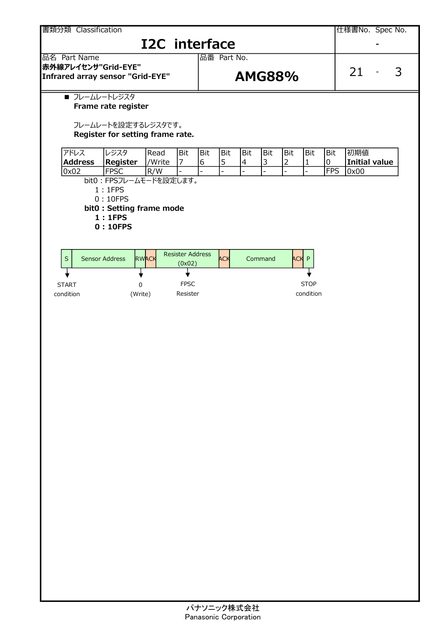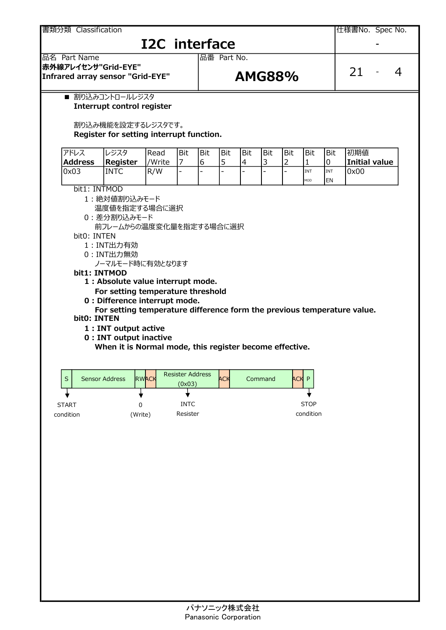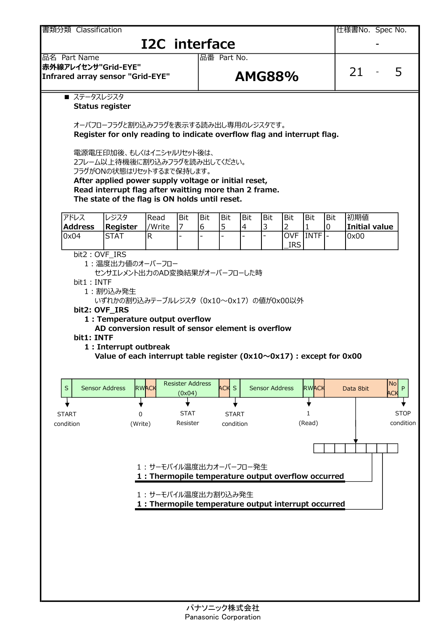■ ステータスレジスタ Status register オーバフローフラグと割り込みフラグを表示する読み出し専用のレジスタです。 Register for only reading to indicate overflow flag and interrupt flag. 電源電圧印加後、もしくはイニシャルリセット後は、 2フレーム以上待機後に割り込みフラグを読み出してください。 フラグがONの状態はリセットするまで保持します。 After applied power supply voltage or initial reset, Read interrupt flag after waitting more than 2 frame. The state of the flag is ON holds until reset. アドレス レジスタ Read Bit Bit Bit Bit Bit Bit Bit Bit 初期値 Address Register *|/Write |7 |6 |5 |4 |3 |2 |1 |0 |*Initial value 0x04 STAT R - - - - - 0x00 bit2: OVF\_IRS 1:温度出力値のオーバーフロー センサエレメント出力のAD変換結果がオーバーフローした時 bit1: INTF 1:割り込み発生 いずれかの割り込みテーブルレジスタ(0x10~0x17)の値が0x00以外 bit2: OVF\_IRS 1 : Temperature output overflow AD conversion result of sensor element is overflow bit1: INTF 1 : Interrupt outbreak Value of each interrupt table register ( $0x10~0x17$ ) : except for  $0x00$ 1 : サーモパイル温度出力オーバーフロー発生 1 : Thermopile temperature output overflow occurred 1 : サーモパイル温度出力割り込み発生 1 : Thermopile temperature output interrupt occurred - OVF \_IRS INTF <u>書類分類 Classification とのことをつくては、この形式を含むことを含むことを含むことを含むことになります。</u><br>このことには、このことには、このことには、このことには、このことには、このことには、このことには、このことには、このことには、このことには、このことには、このことには、このことには、このことには、このことは、このことは、こ I2C interface 品名 Part Name 品番 Part No. 赤外線アレイセンサ"Grid-EYE"  $\frac{1}{2}$  and EVE and EVE and EVE and  $\frac{1}{2}$  and EVE and  $\frac{1}{2}$  and  $\frac{1}{2}$  and  $\frac{1}{2}$  and  $\frac{1}{2}$  and  $\frac{1}{2}$  and  $\frac{1}{2}$  and  $\frac{1}{2}$  and  $\frac{1}{2}$  and  $\frac{1}{2}$  and  $\frac{1}{2}$  and  $\frac{1}{2}$  and  $\frac{1}{2$  $S$  Sensor Address  $RWACK$  Resister Address  $ACK$  S STAT 0 START (Write) Resister condition (Read) | co START 0 STAT condition (Write) Resister STOP | condition (Read) RWACK THE SENSOR ADDRESS RWACK Data 8bit [IIP] Resister Address **ACK S** Sensor Address **RWAC** (0x04) Data 8bit No P  $\mathsf{No}$   $\Box$ ACK II P | | 1 STOP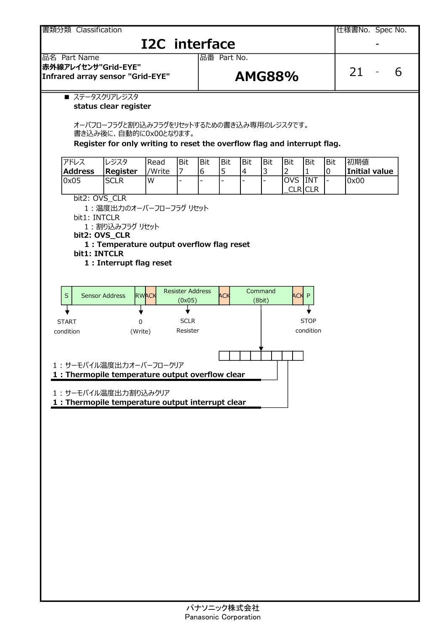■ ステータスクリアレジスタ status clear register オーバフローフラグと割り込みフラグをリセットするための書き込み専用のレジスタです。 書き込み後に、自動的に0x00となります。 Register for only writing to reset the overflow flag and interrupt flag. アドレス レジスタ Read Bit Bit Bit Bit Bit Bit Bit Bit 初期値 Address Register  $\frac{1}{W}$  /  $\frac{1}{6}$   $\frac{1}{5}$   $\frac{1}{4}$   $\frac{1}{3}$   $\frac{1}{2}$   $\frac{1}{1}$   $\frac{1}{0}$  Tnitial value 0x05 SCLR W - - - - - - 0x00 OVS INT bit2: OVS\_CLR 1:温度出力のオーバーフローフラグ リセット bit1: INTCLR 1:割り込みフラグ リセット bit2: OVS\_CLR 1 : Temperature output overflow flag reset bit1: INTCLR 1 : Interrupt flag reset 1 : サーモパイル温度出力オーバーフロークリア 1 : Thermopile temperature output overflow clear 1 : サーモパイル温度出力割り込みクリア 1 : Thermopile temperature output interrupt clear 書類分類 Classification しかします しかし しゅうしょう しんしゃ しんしゃ しんしゃ しんしょう しんしょう しんしょう しんしょう しんしょう **I2C** interface 品名 Part Name 品番 Part No. 赤外線アレイセンサ"Grid-EYE"  $\frac{1}{2}$  and EVE and EVE and EVE and  $\frac{1}{2}$  and  $\frac{1}{2}$  and  $\frac{1}{2}$  and  $\frac{1}{2}$  and  $\frac{1}{2}$  and  $\frac{1}{2}$  and  $\frac{1}{2}$  and  $\frac{1}{2}$  and  $\frac{1}{2}$  and  $\frac{1}{2}$  and  $\frac{1}{2}$  and  $\frac{1}{2}$  and  $\frac{1}{2}$  and  $CLR$  $CLR$  $S$  Sensor Address  $RWACK$ SCLR STOP Resister START 0 SCLR condition STOP **STOP** condition RWACK RESISTED HOURS ACK Resister Address (0x05) ACK P | NORTH | NORTH | NORTH | NORTH | NORTH | NORTH | NORTH | NORTH | NORTH | NORTH | NORTH | NORTH | NORTH | NORTH | NORTH | NORTH | NORTH | NORTH | NORTH | NORTH | NORTH | NORTH | NORTH | NORTH | NORTH | NORTH | NORTH 0 SCLR DEALER (Write) **Command** (8bit)  $ACK$   $ACK$  P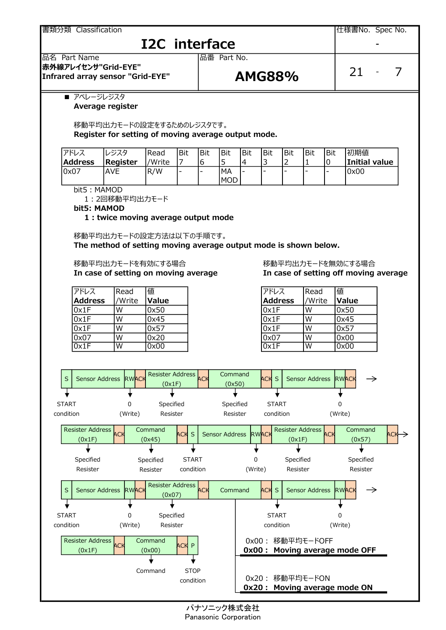

## **I2C** interface





### ■ アベレージレジスタ Average register

移動平均出力モードの設定をするためのレジスタです。 Register for setting of moving average output mode.

| アドレス           | ルジスタ     | lRead  | Bit                      | Bit | l Bit | !Bit | <b>Bit</b>               | l Bit | Bit                      | Bit | 初期値           |
|----------------|----------|--------|--------------------------|-----|-------|------|--------------------------|-------|--------------------------|-----|---------------|
| <b>Address</b> | Register | /Write | —                        |     |       | 14   | سه                       |       |                          | u   | Initial value |
| 10x07          | AVE      | IR/W   | $\overline{\phantom{a}}$ |     | 'MA   | . –  | $\overline{\phantom{0}}$ | -     | $\overline{\phantom{0}}$ |     | 0x00          |
|                |          |        |                          |     | 'MOD  |      |                          |       |                          |     |               |

bit5: MAMOD

1:2回移動平均出力モード

bit5: MAMOD

### 1 : twice moving average output mode

移動平均出力モードの設定方法は以下の手順です。

The method of setting moving average output mode is shown below.

移動平均出力モードを有効にする場合 インストリング アンバン 移動平均出力モードを無効にする場合

| フドレス               | Read   | 値     | アドレス             | Read   | 値            |
|--------------------|--------|-------|------------------|--------|--------------|
| <b>Address</b>     | 'Write | Value | Address          | /Write | <b>Value</b> |
| $\mathsf{lox1F}$   | W      | 0x50  | $\mathsf{lox1F}$ | W      | 0x50         |
| $\vert 0x1F \vert$ | W      | 0x45  | $\mathsf{lox1F}$ | W      | 0x45         |
| $\vert 0x1F \vert$ | W      | 0x57  | l0x1F            | W      | 0x57         |
| 0x07               | W      | 0x20  | l0x07            | W      | 0x00         |
| 0x1F               | W      | 0x00  | l0x1F            | W      | 0x00         |

# In case of setting on moving average In case of setting off moving average

| アドレス           | Read   | 値     |
|----------------|--------|-------|
| <b>Address</b> | /Write | Value |
| 0x1F           | W      | 0x50  |
| 0x1F           | W      | 0x45  |
| 0x1F           | W      | 0x57  |
| 0x07           | W      | 0x00  |
| 0x1F           | ٨Ι     | 0x00  |

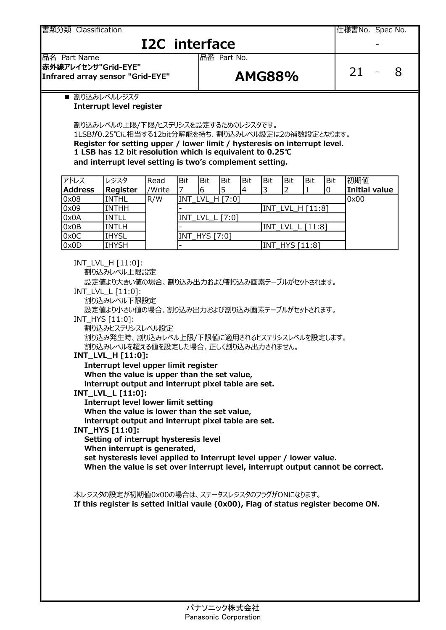<u>書類分類 Classification とのことをつくては、この形式を含むことを含むことがある。</u><br>それでは、この他様書No. Spec No.

# I2C interface

品名 Part Name 品番 Part No. 赤外線アレイセンサ"Grid-EYE" Infrared array sensor "Grid-EYE"  $AMGS8\%$ 

■ 割り込みレベルレジスタ

### Interrupt level register

割り込みレベルの上限/下限/ヒステリシスを設定するためのレジスタです。 1LSBが0.25℃に相当する12bit分解能を持ち、割り込みレベル設定は2の補数設定となります。

Register for setting upper / lower limit / hysteresis on interrupt level. 1 LSB has 12 bit resolution which is equivalent to 0.25℃ and interrupt level setting is two's complement setting.

| アドレス           | レジスタ            | Read   | Bit | Bit                  | Bit | Bit | Bit | <b>Bit</b>     | Bit              | Bit | 初期値           |
|----------------|-----------------|--------|-----|----------------------|-----|-----|-----|----------------|------------------|-----|---------------|
| <b>Address</b> | <b>Register</b> | /Write |     | b                    | 15  | 4   |     |                |                  |     | Initial value |
| 0x08           | <b>INTHL</b>    | R/W    |     | INT_LVL_H [7:0]      |     |     |     |                |                  |     | 0x00          |
| 0x09           | <b>INTHH</b>    |        |     |                      |     |     |     |                | INT_LVL_H [11:8] |     |               |
| 0x0A           | INTLL           |        |     | INT_LVL_L [7:0]      |     |     |     |                |                  |     |               |
| 0x0B           | <b>INTLH</b>    |        |     |                      |     |     |     |                | INT_LVL_L [11:8] |     |               |
| 0x0C           | <b>IHYSL</b>    |        |     | <b>INT_HYS</b> [7:0] |     |     |     |                |                  |     |               |
| 0x0D           | <b>IHYSH</b>    |        |     |                      |     |     |     | INT HYS [11:8] |                  |     |               |

INT\_LVL\_H [11:0]:

割り込みレベル上限設定

設定値より大きい値の場合、割り込み出力および割り込み画素テーブルがセットされます。

- INT\_LVL\_L [11:0]:
	- 割り込みレベル下限設定

設定値より小さい値の場合、割り込み出力および割り込み画素テーブルがセットされます。

### INT\_HYS [11:0]:

割り込みヒステリシスレベル設定

割り込み発生時、割り込みレベル上限/下限値に適用されるヒステリシスレベルを設定します。 割り込みレベルを超える値を設定した場合、正しく割り込み出力されません。

### INT\_LVL\_H [11:0]:

Interrupt level upper limit register

When the value is upper than the set value,

interrupt output and interrupt pixel table are set.

INT\_LVL\_L [11:0]:

Interrupt level lower limit setting

When the value is lower than the set value,

interrupt output and interrupt pixel table are set.

### INT\_HYS [11:0]:

Setting of interrupt hysteresis level

When interrupt is generated,

set hysteresis level applied to interrupt level upper / lower value.

When the value is set over interrupt level, interrupt output cannot be correct.

本レジスタの設定が初期値0x00の場合は、ステータスレジスタのフラグがONになります。

If this register is setted initlal vaule (0x00), Flag of status register become ON.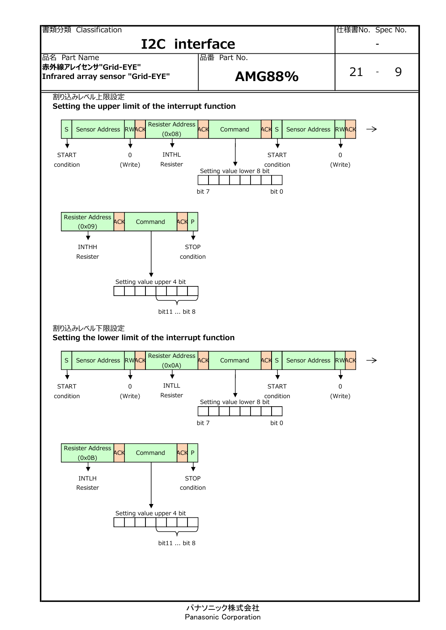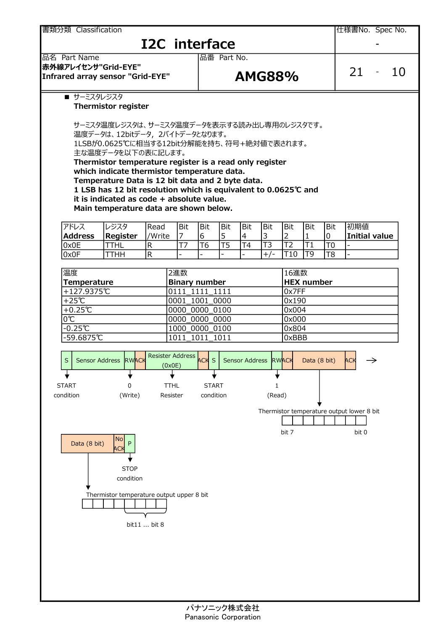■ サーミスタレジスタ Thermistor register サーミスタ温度レジスタは、サーミスタ温度データを表示する読み出し専用のレジスタです。 .<br>温度データは、12bitデータ, 2バイトデータとなります。 1LSBが0.0625℃に相当する12bit分解能を持ち、符号+絶対値で表されます。 主な温度データを以下の表に記します。 Thermistor temperature register is a read only register which indicate thermistor temperature data. Temperature Data is 12 bit data and 2 byte data. 1 LSB has 12 bit resolution which is equivalent to 0.0625℃ and it is indicated as code + absolute value. Main temperature data are shown below. アドレス レジスタ Read Bit Bit Bit Bit Bit Bit Bit Bit 初期値 Address Register *VWrite*  $\begin{array}{ccc} 7 & 6 & 5 & 4 & 3 & 2 & 1 & 0 \end{array}$  Initial value 0x0E |TTHL |R |T7 |T6 |T5 |T4 |T3 |T2 |T1 |T0 |-0x0F |TTHH |R |- |- |- |- |+/-|T10 |T9 |T8 |-温度 2進数 16進数 Temperature | Binary number | HEX number +127.9375℃ 0111\_1111\_1111 0x7FF +25℃ 0001 1001 0000 0x190 +0.25℃ 0000\_0000\_0100 0x004 0℃ 0000\_0000\_0000\_0000 0000 0x000  $-0.25$ ℃  $|10000000000$  0100 0000 0100  $|0x804$ -59.6875℃ 1011\_1011\_1011 0xBBB <u>書類分類 Classification とのことをつくては、この形式を含むことを含むことがある。</u><br>それでは、このことには、このことには、Spec No. I2C interface 品名 Part Name 品番 Part No. 赤外線アレイセンサ"Grid-EYE"  $\frac{1}{2}$  Infrared array sensor "Grid-EYE"  $\frac{1}{2}$  AMG88% 21 - 10 T3 T2 T1  $+/-$  T<sub>10</sub> T<sub>9</sub> S Sensor Address RWACK S TTHL START 0 START Resister condition (Write) condition RWACK  $\overline{A}$   $\overline{C}$   $\overline{A}$   $\overline{C}$  Sensor Address RWACK Data (8 bit) ACK  $\rightarrow$ Resister Address ACK S Sensor Address RWACK (0x0E) RWACK Data (8 bit) ACK  $\rightarrow$  I Bit Bit Bit Bit 初期値<br>  $\frac{3}{13}$  2 1 0 Initial value<br>  $\frac{+/-}{110}$  To -<br>  $\frac{16$  UV To To -<br>  $\frac{16}{}$  Ox Te -<br>
0x Te -<br>
0x Te -<br>
0x Te -<br>
0x Te -<br>
0x Te -<br>
0x Ox BB<br>
0x 000<br>
0x 000<br>
0x 000<br>
0x 000<br>
0x 000<br>
0x 000<br>
0x 000 and<br>
Bit Bit 初期値<br>
1 0 Initial value<br>
T1 T0 -<br>
T9 T8 -<br>
数<br>
mumber<br>
F<br>
0<br>
4<br>
0<br>
4<br>
B<br>
Data (8 bit) ACK ->  $\begin{array}{|l|l|} \hline 2 & 1 & 0 & \text{Initial value} \\ \hline \hline 12 & 11 & 10 & - \\ \hline 110 & 19 & 18 & - \\ \hline \hline \end{array}$   $\begin{array}{|l|} \hline \text{16} \text{#} \text{#} \text{t} \text{ number} \\ \hline \text{16} \text{K} \text{ number} \\ \hline \text{0} \times \text{7FF} \\ \hline \text{0} \times \text{190} \\ \hline \text{0} \times \text{004} \\ \hline \text{0} \times \text{004} \\ \hline \text{0$ 1 (Read) Data (8 bit) No and a set of the set of the set of the set of the set of the set of the set of the set of the set of the set ACK FOR THE CONTROL CONTROL CONTROL CONTROL CONTROL CONTROL CONTROL CONTROL CONTROL CONTROL CONTROL CONTROL CONTROL CONTROL CONTROL CONTROL CONTROL CONTROL CONTROL CONTROL CONTROL CONTROL CONTROL CONTROL CONTROL CONTROL CO  $P$  |  $\blacksquare$ Thermistor temperature output upper 8 bit  $\frac{1000\ 0000\ 0100}{1011\ 1011\ 1011}$   $\frac{1}{0} \times 804$ <br>
WACK<br>
Resister Address CCK S<br>
COXOES<br>
O
THL START<br>
Thermistor temperature output lower 8 bit<br>
Thermistor temperature output lower 8 bit<br>
P
P
TOP<br>
O
TOP<br>
O
THE START

condition

STOP **STOP** 

 $ACK$   $\rightarrow$   $\qquad$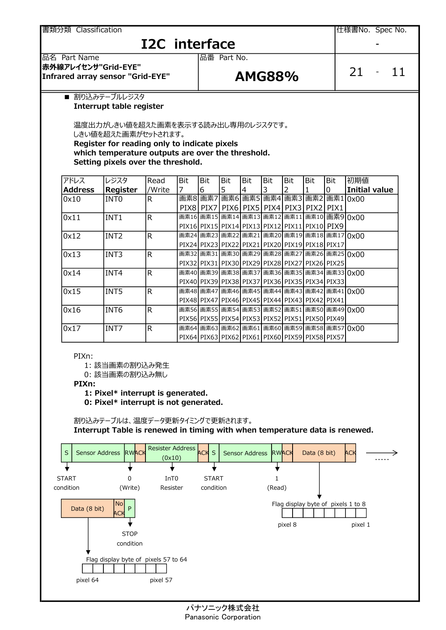書類分類 Classification

# **I2C** interface

仕様書No. Spec No.

品名 Part Name 品番 Part No. 赤外線アレイセンサ"Grid-EYE"

## $\frac{1}{2}$  and EVS sensor "Grid-EYE"  $\frac{1}{2}$  AMG88% 21 - 11

■ 割り込みテーブルレジスタ

Interrupt table register

温度出力がしきい値を超えた画素を表示する読み出し専用のレジスタです。 しきい値を超えた画素がセットされます。 Register for reading only to indicate pixels

which temperature outputs are over the threshold.

Setting pixels over the threshold.

| アドレス               | レジスタ                                                                                                                                                                                                                            | Read                              | <b>Bit</b> | Bit                                                                                             | Bit | Bit                  | Bit    | Bit | Bit          | Bit | 初期値           |
|--------------------|---------------------------------------------------------------------------------------------------------------------------------------------------------------------------------------------------------------------------------|-----------------------------------|------------|-------------------------------------------------------------------------------------------------|-----|----------------------|--------|-----|--------------|-----|---------------|
| <b>Address</b>     | Register                                                                                                                                                                                                                        | /Write                            |            | 6                                                                                               | 5   | 4                    | 3      |     |              | 0   | Initial value |
| 0x10               | INT <sub>0</sub>                                                                                                                                                                                                                | R                                 |            | 画素8 画素7 画素6 画素5 画素4 画素3 画素2 画素1 0x00                                                            |     |                      |        |     |              |     |               |
|                    |                                                                                                                                                                                                                                 |                                   |            | PIX8 PIX7 PIX6 PIX5 PIX4 PIX3 PIX2 PIX1                                                         |     |                      |        |     |              |     |               |
| $\log_{11}$        | INT1                                                                                                                                                                                                                            | R.                                |            | 画素16 画素15 画素14 画素13 画素12 画素11 画素10 画素9 0x00                                                     |     |                      |        |     |              |     |               |
|                    |                                                                                                                                                                                                                                 |                                   |            | PIX16 PIX15 PIX14 PIX13 PIX12 PIX11 PIX10 PIX9                                                  |     |                      |        |     |              |     |               |
| $\vert 0x12 \vert$ | INT <sub>2</sub>                                                                                                                                                                                                                | $\mathsf{R}$                      |            | 画素24 画素23 画素22 画素21 画素20 画素19 画素18 画素17 0x00                                                    |     |                      |        |     |              |     |               |
|                    |                                                                                                                                                                                                                                 |                                   |            | PIX24 PIX23 PIX22 PIX21 PIX20 PIX19 PIX18 PIX17<br>画素32 画素31 画素30 画素29 画素28 画素27 画素26 画素25 0x00 |     |                      |        |     |              |     |               |
| 0x13               | INT3                                                                                                                                                                                                                            | $\mathsf{R}$                      |            | PIX32   PIX31   PIX30   PIX29   PIX28   PIX27   PIX26   PIX25                                   |     |                      |        |     |              |     |               |
| $\vert 0x14 \vert$ | INT4                                                                                                                                                                                                                            | $\mathsf{R}$                      |            | 画素40 画素39 画素38 画素37 画素36 画素35 画素34 画素33 0x00                                                    |     |                      |        |     |              |     |               |
|                    |                                                                                                                                                                                                                                 |                                   |            | PIX40 PIX39 PIX38 PIX37 PIX36 PIX35 PIX34 PIX33                                                 |     |                      |        |     |              |     |               |
| $\log_{15}$        | INT5                                                                                                                                                                                                                            | $\mathsf{R}$                      |            | 画素48 画素47 画素46 画素45 画素44 画素43 画素42 画素41 0x00                                                    |     |                      |        |     |              |     |               |
|                    |                                                                                                                                                                                                                                 |                                   |            | PIX48 PIX47 PIX46 PIX45 PIX44 PIX43 PIX42 PIX41                                                 |     |                      |        |     |              |     |               |
| $\vert 0x16 \vert$ | INT6                                                                                                                                                                                                                            | $\mathsf{R}$                      |            | 画素56 画素55 画素54 画素53 画素52 画素51 画素50 画素49 0x00                                                    |     |                      |        |     |              |     |               |
|                    |                                                                                                                                                                                                                                 |                                   |            | PIX56 PIX55 PIX54 PIX53 PIX52 PIX51 PIX50 PIX49                                                 |     |                      |        |     |              |     |               |
| 0x17               | INT7                                                                                                                                                                                                                            | R.                                |            | 画素64 画素63 画素62 画素61 画素60 画素59 画素58 画素57 0x00                                                    |     |                      |        |     |              |     |               |
|                    |                                                                                                                                                                                                                                 |                                   |            | PIX64 PIX63 PIX62 PIX61 PIX60 PIX59 PIX58 PIX57                                                 |     |                      |        |     |              |     |               |
| PIXn:<br>PIXn:     | 1: 該当画素の割り込み発生<br>0: 該当画素の割り込み無し<br>1: Pixel* interrupt is generated.<br>0: Pixel* interrupt is not generated.<br>割り込みテーブルは、温度データ更新タイミングで更新されます。<br>Interrupt Table is renewed in timing with when temperature data is renewed. |                                   |            |                                                                                                 |     |                      |        |     |              |     |               |
| $\mathsf S$        | Sensor Address RWACK                                                                                                                                                                                                            | <b>Resister Address</b><br>(0x10) |            | <b>ACK S</b>                                                                                    |     | Sensor Address RWACK |        |     | Data (8 bit) |     | ACK<br>.      |
|                    |                                                                                                                                                                                                                                 |                                   |            |                                                                                                 |     |                      |        |     |              |     |               |
| <b>TART</b>        | U                                                                                                                                                                                                                               | InT <sub>0</sub>                  |            | <b>START</b>                                                                                    |     |                      |        |     |              |     |               |
| ndition            | (Write)                                                                                                                                                                                                                         | Resister                          |            | condition                                                                                       |     |                      | (Read) |     |              |     |               |

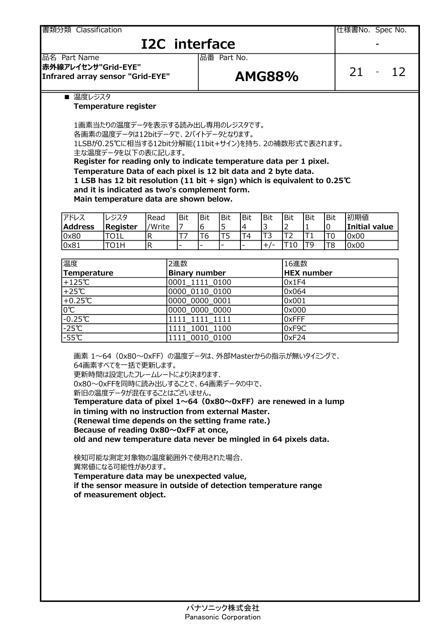<u>書類分類 Classification とのことをつくては、この形式を含むことを含むことがある。</u><br>それでは、この他様書No. Spec No.

## **I2C** interface

### 品名 Part Name 品番 Part No. 赤外線アレイセンサ"Grid-EYE"

## Infrared array sensor "Grid-EYE"  $AMGS8\%$

|  | . . |
|--|-----|
|--|-----|

■ 温度レジスタ

### Temperature register

1画素当たりの温度データを表示する読み出し専用のレジスタです。

各画素の温度データは12bitデータで、2バイトデータとなります。

1LSBが0.25℃に相当する12bit分解能(11bit+サイン)を持ち、2の補数形式で表されます。 主な温度データを以下の表に記します。

Register for reading only to indicate temperature data per 1 pixel. Temperature Data of each pixel is 12 bit data and 2 byte data.

1 LSB has 12 bit resolution (11 bit + sign) which is equivalent to 0.25℃ and it is indicated as two's complement form.

Main temperature data are shown below.

| アドレス           | 』レジスタ           | Read   | Bit                      | Bit                      | l Bit | Bit | Bit | Bit | <b>Bit</b> | Bit | 初期値           |
|----------------|-----------------|--------|--------------------------|--------------------------|-------|-----|-----|-----|------------|-----|---------------|
| <b>Address</b> | <b>Register</b> | 'Write | -                        |                          |       |     | ے   | -   |            |     | Initial value |
| 0x80           | TO1L            |        |                          | O                        |       |     | ٮ   | --- |            | T0  | 10x00         |
| 0x81           | TO1H            |        | $\overline{\phantom{0}}$ | $\overline{\phantom{0}}$ | -     | . . | -   |     |            | T8  | 0x00          |

| 温度                      | 2進数                  | 16進数              |  |  |  |
|-------------------------|----------------------|-------------------|--|--|--|
| Temperature             | <b>Binary number</b> | <b>HEX number</b> |  |  |  |
| $+125$ ℃                | 0001 1111 0100       | 0x1F4             |  |  |  |
| $+25^{\circ}C$          | 0000 0110 0100       | 0x064             |  |  |  |
| $+0.25$ °C              | 0000 0000 0001       | 0x001             |  |  |  |
| $\overline{0^{\circ}C}$ | 0000 0000 0000       | 0x000             |  |  |  |
| $-0.25C$                | 1111 1111 1111       | OxFFF             |  |  |  |
| $-25^\circ$ C           | 1111 1001 1100       | OxF9C             |  |  |  |
| $-55C$                  | 1111 0010 0100       | 0xF24             |  |  |  |

画素 1~64 (0x80~0xFF) の温度データは、外部Masterからの指示が無いタイミングで、 64画素すべてを一括で更新します。 更新時間は設定したフレームレートにより決まります. 0x80~0xFFを同時に読み出しすることで、64画素データの中で、 新旧の温度データが混在することはございません。 Temperature data of pixel  $1 \sim 64$  (0x80 $\sim$ 0xFF) are renewed in a lump in timing with no instruction from external Master. (Renewal time depends on the setting frame rate.) Because of reading 0x80~0xFF at once, old and new temperature data never be mingled in 64 pixels data.

検知可能な測定対象物の温度範囲外で使用された場合、

異常値になる可能性があります。

Temperature data may be unexpected value,

if the sensor measure in outside of detection temperature range of measurement object.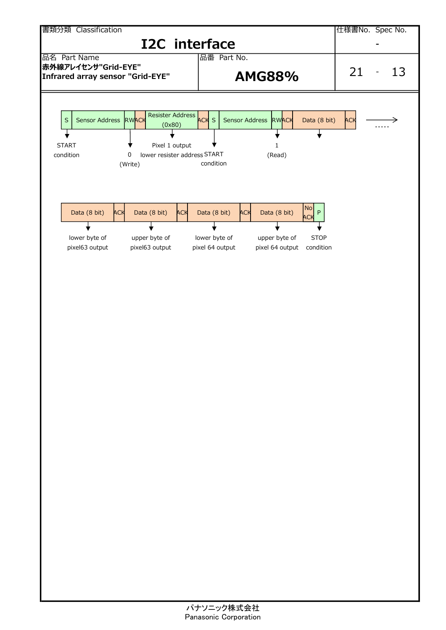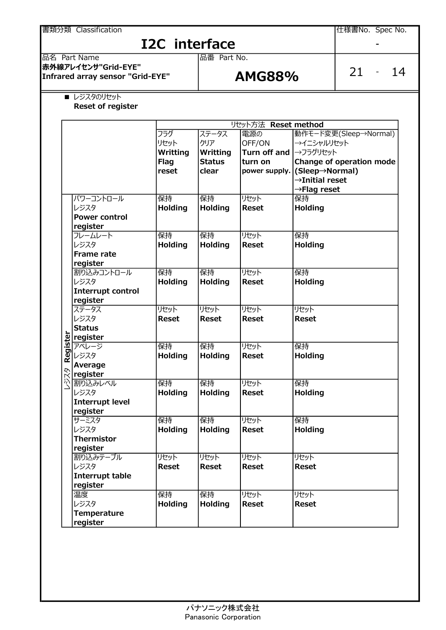|          | 品名 Part Name                                               |                                                 | 品番 Part No.                                        |                                                           |                                                                                                     |                                                   |
|----------|------------------------------------------------------------|-------------------------------------------------|----------------------------------------------------|-----------------------------------------------------------|-----------------------------------------------------------------------------------------------------|---------------------------------------------------|
|          | 赤外線アレイセンサ"Grid-EYE"<br>Infrared array sensor "Grid-EYE"    |                                                 | <b>AMG88%</b>                                      | $21 -$<br>14                                              |                                                                                                     |                                                   |
|          | ■ レジスタのリセット<br><b>Reset of register</b>                    |                                                 |                                                    |                                                           |                                                                                                     |                                                   |
|          |                                                            |                                                 |                                                    | リセット方法 Reset method                                       |                                                                                                     |                                                   |
|          |                                                            | フラグ<br>リセット<br>Writting<br><b>Flag</b><br>reset | ステータス<br>クリア<br>Writting<br><b>Status</b><br>clear | 電源の<br>OFF/ON<br>Turn off and<br>turn on<br>power supply. | →イニシャルリセット<br>→フラグリセット<br>(Sleep→Normal)<br>$\rightarrow$ Initial reset<br>$\rightarrow$ Flag reset | 動作モード変更(Sleep→Normal)<br>Change of operation mode |
|          | パワーコントロール<br>レジスタ<br><b>Power control</b><br>register      | 保持<br><b>Holding</b>                            | 保持<br><b>Holding</b>                               | リセット<br><b>Reset</b>                                      | 保持<br>Holding                                                                                       |                                                   |
|          | フレームレート<br>レジスタ<br><b>Frame rate</b><br>register           | 保持<br><b>Holding</b>                            | 保持<br><b>Holding</b>                               | リセット<br><b>Reset</b>                                      | 保持<br><b>Holding</b>                                                                                |                                                   |
|          | 割り込みコントロール<br>レジスタ<br><b>Interrupt control</b><br>register | 保持<br><b>Holding</b>                            | 保持<br><b>Holding</b>                               | リセット<br><b>Reset</b>                                      | 保持<br>Holding                                                                                       |                                                   |
|          | ステータス<br>レジスタ<br><b>Status</b><br>register                 | リセット<br><b>Reset</b>                            | リセット<br><b>Reset</b>                               | リセット<br><b>Reset</b>                                      | リセット<br><b>Reset</b>                                                                                |                                                   |
| Register | アベレージ<br>レジスタ<br>Average<br>register                       | 保持<br><b>Holding</b>                            | 保持<br><b>Holding</b>                               | リセット<br><b>Reset</b>                                      | 保持<br>Holding                                                                                       |                                                   |
| レジスタ     | 割り込みレベル<br>レジスタ<br><b>Interrupt level</b><br>register      | 保持<br><b>Holding</b>                            | 保持<br><b>Holding</b>                               | リセット<br><b>Reset</b>                                      | 保持<br>Holding                                                                                       |                                                   |
|          | サーミスタ<br>レジスタ<br><b>Thermistor</b><br>register             | 保持<br><b>Holding</b>                            | 保持<br><b>Holding</b>                               | リセット<br><b>Reset</b>                                      | 保持<br>Holding                                                                                       |                                                   |
|          | 割り込みテーブル<br>レジスタ<br><b>Interrupt table</b><br>register     | リセット<br><b>Reset</b>                            | リセット<br><b>Reset</b>                               | リセット<br><b>Reset</b>                                      | リセット<br><b>Reset</b>                                                                                |                                                   |
|          | 温度<br>レジスタ<br>Temperature                                  | 保持<br><b>Holding</b>                            | 保持<br><b>Holding</b>                               | リセット<br><b>Reset</b>                                      | リセット<br><b>Reset</b>                                                                                |                                                   |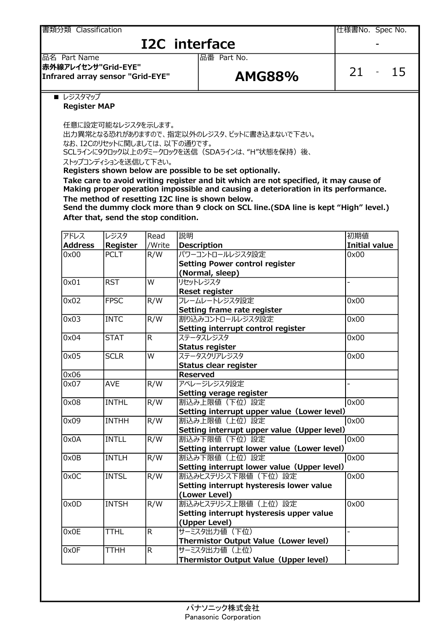書類分類 Classification しかします しかし しゅうしょう しんしゃ しんしゃ しんしゃ しんしょう しんしょう しんしょう しんしょう しんしょう

## **I2C** interface

### 品名 Part Name 品番 Part No. 赤外線アレイセンサ"Grid-EYE" Infrared array sensor "Grid-EYE"  $AMGS8\%$

|--|--|

■ レジスタマップ

### Register MAP

任意に設定可能なレジスタを示します。

出力異常となる恐れがありますので、指定以外のレジスタ、ビットに書き込まないで下さい。 なお、I2Cのリセットに関しましては、以下の通りです。

SCLラインに9クロック以上のダミークロックを送信 (SDAラインは、"H"状態を保持) 後、

ストップコンディションを送信して下さい。

Registers shown below are possible to be set optionally.

Take care to avoid writing register and bit which are not specified, it may cause of Making proper operation impossible and causing a deterioration in its performance. The method of resetting I2C line is shown below.

Send the dummy clock more than 9 clock on SCL line.(SDA line is kept "High" level.) After that, send the stop condition.

| アドレス           | レジスタ         | Read           | 説明                                           | 初期値                  |
|----------------|--------------|----------------|----------------------------------------------|----------------------|
| <b>Address</b> | Register     | /Write         | <b>Description</b>                           | <b>Initial value</b> |
| 0x00           | <b>PCLT</b>  | R/W            | パワーコントロールレジスタ設定                              | 0x00                 |
|                |              |                | <b>Setting Power control register</b>        |                      |
|                |              |                | (Normal, sleep)                              |                      |
| 0x01           | <b>RST</b>   | W              | リセットレジスタ                                     |                      |
|                |              |                | <b>Reset register</b>                        |                      |
| 0x02           | <b>FPSC</b>  | R/W            | フレームレートレジスタ設定                                | 0x00                 |
|                |              |                | Setting frame rate register                  |                      |
| 0x03           | <b>INTC</b>  | R/W            | 割り込みコントロールレジスタ設定                             | 0x00                 |
|                |              |                | Setting interrupt control register           |                      |
| 0x04           | <b>STAT</b>  | $\overline{R}$ | ステータスレジスタ                                    | 0x00                 |
|                |              |                | <b>Status register</b>                       |                      |
| 0x05           | <b>SCLR</b>  | W              | ステータスクリアレジスタ                                 | 0x00                 |
|                |              |                | Status clear register                        |                      |
| 0x06           |              |                | <b>Reserved</b>                              |                      |
| 0x07           | <b>AVE</b>   | R/W            | アベレージレジスタ設定                                  |                      |
|                |              |                | Setting verage register                      |                      |
| 0x08           | <b>INTHL</b> | R/W            | 割込み上限値 (下位)設定                                | 0x00                 |
|                |              |                | Setting interrupt upper value (Lower level)  |                      |
| 0x09           | <b>INTHH</b> | R/W            | 割込み上限値 (上位)設定                                | 0x00                 |
|                |              |                | Setting interrupt upper value (Upper level)  |                      |
| 0x0A           | <b>INTLL</b> | R/W            | 割込み下限値 (下位)設定                                | 0x00                 |
|                |              |                | Setting interrupt lower value (Lower level)  |                      |
| 0x0B           | <b>INTLH</b> | R/W            | 割込み下限値 (上位)設定                                | 0x00                 |
|                |              |                | Setting interrupt lower value (Upper level)  |                      |
| 0x0C           | <b>INTSL</b> | R/W            | 割込みヒステリシス下限値 (下位)設定                          | 0x00                 |
|                |              |                | Setting interrupt hysteresis lower value     |                      |
|                |              |                | (Lower Level)                                |                      |
| 0x0D           | <b>INTSH</b> | R/W            | 割込みヒステリシス上限値(上位)設定                           | 0x00                 |
|                |              |                | Setting interrupt hysteresis upper value     |                      |
|                |              |                | (Upper Level)                                |                      |
| 0x0E           | <b>TTHL</b>  | $\overline{R}$ | サーミスタ出力値 (下位)                                | $\overline{a}$       |
|                |              |                | <b>Thermistor Output Value (Lower level)</b> |                      |
| 0x0F           | <b>TTHH</b>  | $\overline{R}$ | サーミスタ出力値 (上位)                                |                      |
|                |              |                | Thermistor Output Value (Upper level)        |                      |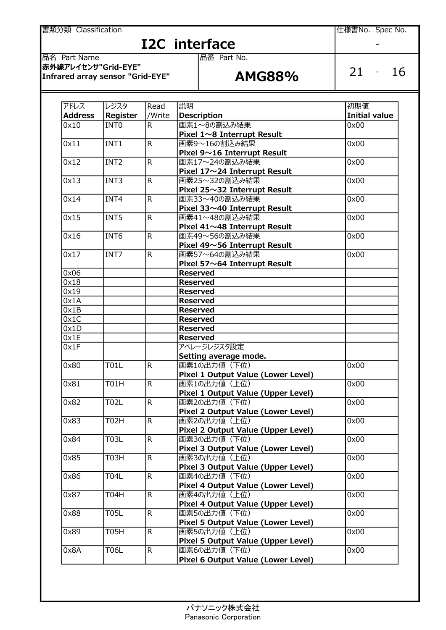<u>書類分類 Classification スタックス こころの こころについては、こころのことを実現分類</u> Classification したは、このことを実現することを

# $\frac{12C \text{ interface}}{\frac{12C}{12C \text{ Rate Part No.}}}$

| アドレス           | レジスタ             | Read           | 説明                                 | 初期値                  |
|----------------|------------------|----------------|------------------------------------|----------------------|
| <b>Address</b> | Register         | /Write         | <b>Description</b>                 | <b>Initial value</b> |
| 0x10           | INT <sub>0</sub> | R.             | 画素1~8の割込み結果                        | 0x00                 |
|                |                  |                | Pixel 1~8 Interrupt Result         |                      |
| 0x11           | INT1             | R              | 画素9~16の割込み結果                       | 0x00                 |
|                |                  |                | Pixel 9~16 Interrupt Result        |                      |
| 0x12           | INT <sub>2</sub> | R              | 画素17~24の割込み結果                      | 0x00                 |
|                |                  |                | Pixel 17~24 Interrupt Result       |                      |
| 0x13           | INT3             | R              | 画素25~32の割込み結果                      | 0x00                 |
|                |                  |                | Pixel 25~32 Interrupt Result       |                      |
| 0x14           | INT4             | R.             | 画素33~40の割込み結果                      | 0x00                 |
|                |                  |                | Pixel 33~40 Interrupt Result       |                      |
| 0x15           | INT5             | R              | 画素41~48の割込み結果                      | 0x00                 |
|                |                  |                | Pixel 41~48 Interrupt Result       |                      |
| 0x16           | INT6             | R.             | 画素49~56の割込み結果                      | 0x00                 |
|                |                  |                | Pixel 49~56 Interrupt Result       |                      |
| 0x17           | INT7             | R.             | 画素57~64の割込み結果                      | 0x00                 |
|                |                  |                | Pixel 57~64 Interrupt Result       |                      |
| 0x06           |                  |                | <b>Reserved</b>                    |                      |
| 0x18           |                  |                | <b>Reserved</b>                    |                      |
| 0x19           |                  |                | <b>Reserved</b>                    |                      |
| 0x1A           |                  |                | <b>Reserved</b>                    |                      |
| 0x1B           |                  |                | <b>Reserved</b>                    |                      |
| 0x1C           |                  |                | <b>Reserved</b>                    |                      |
| 0x1D           |                  |                | <b>Reserved</b>                    |                      |
| 0x1E           |                  |                | <b>Reserved</b>                    |                      |
| 0x1F           |                  |                | アベレージレジスタ設定                        |                      |
|                |                  |                | Setting average mode.              |                      |
| 0x80           | <b>T01L</b>      | R.             | 画素1の出力値 (下位)                       | 0x00                 |
|                |                  |                | Pixel 1 Output Value (Lower Level) |                      |
| 0x81           | <b>T01H</b>      | $\overline{R}$ | 画素1の出力値 (上位)                       | 0x00                 |
|                |                  |                | Pixel 1 Output Value (Upper Level) |                      |
| 0x82           | <b>T02L</b>      | $\overline{R}$ | 画素2の出力値 (下位)                       | 0x00                 |
|                |                  |                | Pixel 2 Output Value (Lower Level) |                      |
| 0x83           | <b>T02H</b>      | $\overline{R}$ | 画素2の出力値 (上位)                       | 0x00                 |
|                |                  |                | Pixel 2 Output Value (Upper Level) |                      |
| 0x84           | <b>T03L</b>      | R.             | 画素3の出力値 (下位)                       | 0x00                 |
|                |                  |                | Pixel 3 Output Value (Lower Level) |                      |
| 0x85           | T03H             | R.             | 画素3の出力値 (上位)                       | 0x00                 |
|                |                  |                | Pixel 3 Output Value (Upper Level) |                      |
| 0x86           | <b>T04L</b>      | $\overline{R}$ | 画素4の出力値 (下位)                       | 0x00                 |
|                |                  |                | Pixel 4 Output Value (Lower Level) |                      |
| 0x87           | T04H             | R.             | 画素4の出力値 (上位)                       | 0x00                 |
|                |                  |                | Pixel 4 Output Value (Upper Level) |                      |
| 0x88           | <b>T05L</b>      | R.             | 画素5の出力値 (下位)                       | 0x00                 |
|                |                  |                | Pixel 5 Output Value (Lower Level) |                      |
| 0x89           | <b>T05H</b>      | R.             | 画素5の出力値 (上位)                       | 0x00                 |
|                |                  |                | Pixel 5 Output Value (Upper Level) |                      |
| 0x8A           | <b>T06L</b>      | R.             | 画素6の出力値 (下位)                       | 0x00                 |
|                |                  |                | Pixel 6 Output Value (Lower Level) |                      |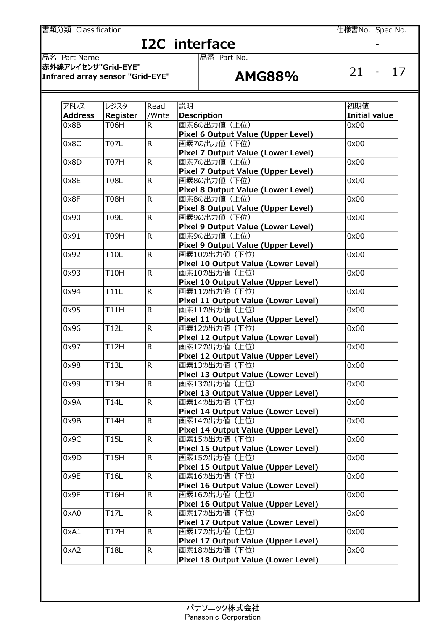**書類分類 Classification contract of the Classification** contract of the Classification contract of the Classification

# $\frac{12C \text{ interface}}{\frac{12C}{12C \text{ Rate Part No.}}}$

| アドレス           | レジスタ               | Read           | 説明                                                   | 初期値                  |
|----------------|--------------------|----------------|------------------------------------------------------|----------------------|
| <b>Address</b> | Register           | /Write         | <b>Description</b>                                   | <b>Initial value</b> |
| 0x8B           | <b>T06H</b>        | R.             | 画素6の出力値 (上位)                                         | 0x00                 |
|                |                    |                | Pixel 6 Output Value (Upper Level)                   |                      |
| 0x8C           | <b>T07L</b>        | R.             | 画素7の出力値 (下位)                                         | 0x00                 |
|                |                    |                | Pixel 7 Output Value (Lower Level)                   |                      |
| 0x8D           | $\overline{T}$ 07H | R              | 画素7の出力値 (上位)                                         | 0x00                 |
|                |                    |                | Pixel 7 Output Value (Upper Level)                   |                      |
| 0x8E           | <b>T08L</b>        | $\overline{R}$ | 画素8の出力値 (下位)                                         | 0x00                 |
|                |                    |                | Pixel 8 Output Value (Lower Level)                   |                      |
| 0x8F           | <b>T08H</b>        | R              | 画素8の出力値 (上位)                                         | 0x00                 |
|                |                    |                | Pixel 8 Output Value (Upper Level)                   |                      |
| 0x90           | T09L               | $\overline{R}$ | 画素9の出力値 (下位)                                         | 0x00                 |
|                |                    |                | Pixel 9 Output Value (Lower Level)                   |                      |
| 0x91           | <b>T09H</b>        | $\overline{R}$ | 画素9の出力値 (上位)                                         | 0x00                 |
|                |                    |                | Pixel 9 Output Value (Upper Level)                   |                      |
| 0x92           | <b>T10L</b>        | R.             | 画素10の出力値 (下位)                                        | 0x00                 |
|                |                    |                | Pixel 10 Output Value (Lower Level)                  |                      |
| 0x93           | <b>T10H</b>        | R              | 画素10の出力値 (上位)                                        | 0x00                 |
|                |                    |                | Pixel 10 Output Value (Upper Level)                  |                      |
| 0x94           | <b>T11L</b>        | R.             | 画素11の出力値 (下位)                                        | 0x00                 |
|                |                    |                | Pixel 11 Output Value (Lower Level)                  |                      |
| 0x95           | <b>T11H</b>        | R              | 画素11の出力値 (上位)                                        | 0x00                 |
|                |                    |                |                                                      |                      |
| 0x96           | <b>T12L</b>        | R.             | Pixel 11 Output Value (Upper Level)<br>画素12の出力値 (下位) | 0x00                 |
|                |                    |                |                                                      |                      |
|                | <b>T12H</b>        |                | Pixel 12 Output Value (Lower Level)<br>画素12の出力値 (上位) |                      |
| 0x97           |                    | R              |                                                      | 0x00                 |
|                |                    |                | Pixel 12 Output Value (Upper Level)                  |                      |
| 0x98           | <b>T13L</b>        | $\overline{R}$ | 画素13の出力値 (下位)                                        | 0x00                 |
|                |                    |                | Pixel 13 Output Value (Lower Level)                  |                      |
| 0x99           | <b>T13H</b>        | $\overline{R}$ | 画素13の出力値 (上位)                                        | 0x00                 |
|                |                    |                | Pixel 13 Output Value (Upper Level)                  |                      |
| 0x9A           | <b>T14L</b>        | $\overline{R}$ | 画素14の出力値 (下位)                                        | 0x00                 |
|                |                    |                | Pixel 14 Output Value (Lower Level)                  |                      |
| 0x9B           | <b>T14H</b>        | R              | 画素14の出力値 (上位)                                        | 0x00                 |
|                |                    |                | Pixel 14 Output Value (Upper Level)                  |                      |
| 0x9C           | <b>T15L</b>        | $\mathsf{R}$   | 画素15の出力値 (下位)                                        | 0x00                 |
|                |                    |                | Pixel 15 Output Value (Lower Level)                  |                      |
| 0x9D           | <b>T15H</b>        | $\overline{R}$ | 画素15の出力値 (上位)                                        | 0x00                 |
|                |                    |                | Pixel 15 Output Value (Upper Level)                  |                      |
| 0x9E           | <b>T16L</b>        | R              | 画素16の出力値 (下位)                                        | 0x00                 |
|                |                    |                | Pixel 16 Output Value (Lower Level)                  |                      |
| 0x9F           | <b>T16H</b>        | R.             | 画素16の出力値 (上位)                                        | 0x00                 |
|                |                    |                | Pixel 16 Output Value (Upper Level)                  |                      |
| 0xA0           | T17L               | R              | 画素17の出力値 (下位)                                        | 0x00                 |
|                |                    |                | Pixel 17 Output Value (Lower Level)                  |                      |
| 0xA1           | T17H               | $\overline{R}$ | 画素17の出力値 (上位)                                        | 0x00                 |
|                |                    |                | Pixel 17 Output Value (Upper Level)                  |                      |
| 0xA2           | <b>T18L</b>        | R.             | 画素18の出力値 (下位)                                        | 0x00                 |
|                |                    |                | Pixel 18 Output Value (Lower Level)                  |                      |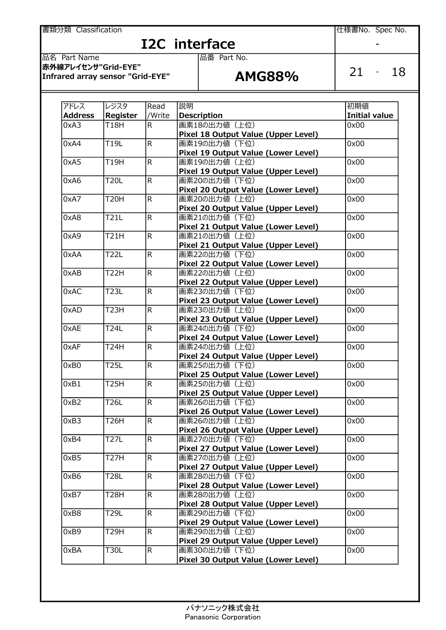**書類分類 Classification contract of the Classification** contract of the Classification contract of the Classification

# I2C interface<br> **Example 3** Part No.

| アドレス           | レジスタ              | Read           | 説明                                  | 初期値                  |
|----------------|-------------------|----------------|-------------------------------------|----------------------|
| <b>Address</b> | Register          | /Write         | <b>Description</b>                  | <b>Initial value</b> |
| 0xA3           | <b>T18H</b>       | R.             | 画素18の出力値 (上位)                       | 0x00                 |
|                |                   |                | Pixel 18 Output Value (Upper Level) |                      |
| 0xA4           | <b>T19L</b>       | $\overline{R}$ | 画素19の出力値 (下位)                       | 0x00                 |
|                |                   |                | Pixel 19 Output Value (Lower Level) |                      |
| 0xA5           | <b>T19H</b>       | $\overline{R}$ | 画素19の出力値 (上位)                       | 0x00                 |
|                |                   |                | Pixel 19 Output Value (Upper Level) |                      |
| 0xA6           | <b>T20L</b>       | $\overline{R}$ | 画素20の出力値 (下位)                       | 0x00                 |
|                |                   |                | Pixel 20 Output Value (Lower Level) |                      |
| 0xA7           | <b>T20H</b>       | $\overline{R}$ | 画素20の出力値 (上位)                       | 0x00                 |
|                |                   |                | Pixel 20 Output Value (Upper Level) |                      |
| 0xA8           | <b>T21L</b>       | R.             | 画素21の出力値 (下位)                       | 0x00                 |
|                |                   |                | Pixel 21 Output Value (Lower Level) |                      |
| 0xA9           | <b>T21H</b>       | R.             | 画素21の出力値 (上位)                       | 0x00                 |
|                |                   |                | Pixel 21 Output Value (Upper Level) |                      |
| 0xAA           | <b>T22L</b>       | $\overline{R}$ | 画素22の出力値 (下位)                       | 0x00                 |
|                |                   |                | Pixel 22 Output Value (Lower Level) |                      |
| 0xAB           | <b>T22H</b>       | $\overline{R}$ | 画素22の出力値 (上位)                       | 0x00                 |
|                |                   |                | Pixel 22 Output Value (Upper Level) |                      |
| 0xAC           | <b>T23L</b>       | $\overline{R}$ | 画素23の出力値 (下位)                       | 0x00                 |
|                |                   |                | Pixel 23 Output Value (Lower Level) |                      |
| 0xAD           | T <sub>23</sub> H | $\overline{R}$ | 画素23の出力値 (上位)                       | 0x00                 |
|                |                   |                | Pixel 23 Output Value (Upper Level) |                      |
| 0xAE           | <b>T24L</b>       | $\overline{R}$ | 画素24の出力値 (下位)                       | 0x00                 |
|                |                   |                | Pixel 24 Output Value (Lower Level) |                      |
| 0xAF           | <b>T24H</b>       | $\overline{R}$ | 画素24の出力値 (上位)                       | 0x00                 |
|                |                   |                | Pixel 24 Output Value (Upper Level) |                      |
| 0xB0           | <b>T25L</b>       | R.             | 画素25の出力値 (下位)                       | 0x00                 |
|                |                   |                | Pixel 25 Output Value (Lower Level) |                      |
| 0xB1           | <b>T25H</b>       | $\mathsf{R}$   | 画素25の出力値 (上位)                       | 0x00                 |
|                |                   |                | Pixel 25 Output Value (Upper Level) |                      |
| 0xB2           | <b>T26L</b>       | $\overline{R}$ | 画素26の出力値 (下位)                       | 0x00                 |
|                |                   |                | Pixel 26 Output Value (Lower Level) |                      |
| 0xB3           | <b>T26H</b>       | $\overline{R}$ | 画素26の出力値 (上位)                       | 0x00                 |
|                |                   |                | Pixel 26 Output Value (Upper Level) |                      |
| 0xB4           | <b>T27L</b>       | R.             | 画素27の出力値 (下位)                       | 0x00                 |
|                |                   |                | Pixel 27 Output Value (Lower Level) |                      |
| 0xB5           | <b>T27H</b>       | $\overline{R}$ | 画素27の出力値 (上位)                       | 0x00                 |
|                |                   |                | Pixel 27 Output Value (Upper Level) |                      |
| 0xB6           | <b>T28L</b>       | R.             | 画素28の出力値 (下位)                       | 0x00                 |
|                |                   |                | Pixel 28 Output Value (Lower Level) |                      |
| 0xB7           | <b>T28H</b>       | $\overline{R}$ | 画素28の出力値 (上位)                       | 0x00                 |
|                |                   |                | Pixel 28 Output Value (Upper Level) |                      |
| 0xB8           | T29L              | R.             | 画素29の出力値 (下位)                       | 0x00                 |
|                |                   |                | Pixel 29 Output Value (Lower Level) |                      |
| 0xB9           | <b>T29H</b>       | $\mathsf{R}$   | 画素29の出力値 (上位)                       | 0x00                 |
|                |                   |                | Pixel 29 Output Value (Upper Level) |                      |
| 0xBA           | <b>T30L</b>       | $\mathsf{R}$   | 画素30の出力値 (下位)                       | 0x00                 |
|                |                   |                | Pixel 30 Output Value (Lower Level) |                      |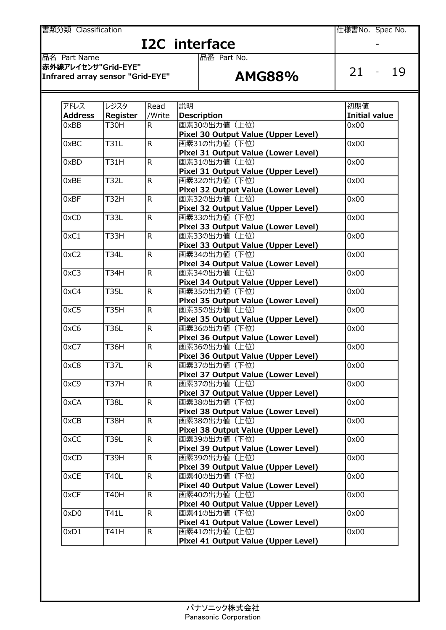**書類分類 Classification contract of the Classification** contract of the Classification contract of the Classification

# I2C interface<br> **Example 3** Part No.

| アドレス           | レジスタ        | Read                    | 説明                                                   | 初期値                  |
|----------------|-------------|-------------------------|------------------------------------------------------|----------------------|
| <b>Address</b> | Register    | /Write                  | <b>Description</b>                                   | <b>Initial value</b> |
| 0xBB           | <b>T30H</b> | R.                      | 画素30の出力値 (上位)                                        | 0x00                 |
|                |             |                         | Pixel 30 Output Value (Upper Level)                  |                      |
| 0xBC           | <b>T31L</b> | $\overline{\mathsf{R}}$ | 画素31の出力値 (下位)                                        | 0x00                 |
|                |             |                         | Pixel 31 Output Value (Lower Level)                  |                      |
| 0xBD           | <b>T31H</b> | R                       | 画素31の出力値 (上位)                                        | 0x00                 |
|                |             |                         | Pixel 31 Output Value (Upper Level)                  |                      |
| 0xBE           | <b>T32L</b> | R                       | 画素32の出力値 (下位)                                        | 0x00                 |
|                |             |                         | Pixel 32 Output Value (Lower Level)                  |                      |
| 0xBF           | T32H        | R                       | 画素32の出力値 (上位)                                        | 0x00                 |
|                |             |                         | Pixel 32 Output Value (Upper Level)                  |                      |
| 0xC0           | <b>T33L</b> | R                       | 画素33の出力値 (下位)                                        | 0x00                 |
|                |             |                         | Pixel 33 Output Value (Lower Level)                  |                      |
| 0xC1           | <b>T33H</b> | R                       | 画素33の出力値 (上位)                                        | 0x00                 |
|                |             |                         | Pixel 33 Output Value (Upper Level)                  |                      |
| 0xC2           | <b>T34L</b> | R                       | 画素34の出力値 (下位)                                        | 0x00                 |
|                |             |                         | Pixel 34 Output Value (Lower Level)                  |                      |
| 0xC3           | T34H        | R                       | 画素34の出力値 (上位)                                        | 0x00                 |
|                |             |                         | Pixel 34 Output Value (Upper Level)                  |                      |
| 0xC4           | <b>T35L</b> | $\overline{\mathsf{R}}$ | 画素35の出力値 (下位)                                        | 0x00                 |
|                |             |                         | Pixel 35 Output Value (Lower Level)                  |                      |
| 0xC5           | <b>T35H</b> | R                       | 画素35の出力値 (上位)                                        | 0x00                 |
|                |             |                         | Pixel 35 Output Value (Upper Level)                  |                      |
| 0xC6           | <b>T36L</b> | R                       | 画素36の出力値 (下位)                                        | 0x00                 |
|                |             |                         | Pixel 36 Output Value (Lower Level)                  |                      |
| 0xC7           | <b>T36H</b> | R                       | 画素36の出力値 (上位)                                        | 0x00                 |
|                |             |                         | Pixel 36 Output Value (Upper Level)                  |                      |
| 0xC8           | <b>T37L</b> | $\overline{\mathsf{R}}$ | 画素37の出力値 (下位)                                        | 0x00                 |
|                |             |                         | Pixel 37 Output Value (Lower Level)                  |                      |
| 0xC9           | <b>T37H</b> | $\overline{\mathsf{R}}$ | 画素37の出力値 (上位)                                        | 0x00                 |
|                |             |                         | Pixel 37 Output Value (Upper Level)                  |                      |
| 0xCA           | <b>T38L</b> | $\overline{\mathsf{R}}$ | 画素38の出力値 (下位)                                        | 0x00                 |
|                |             |                         | Pixel 38 Output Value (Lower Level)                  |                      |
| 0xCB           | <b>T38H</b> | $\overline{\mathsf{R}}$ | 画素38の出力値 (上位)                                        | 0x00                 |
|                |             |                         | Pixel 38 Output Value (Upper Level)                  |                      |
| 0xCC           | T39L        | R.                      | 画素39の出力値 (下位)                                        | 0x00                 |
|                |             |                         | Pixel 39 Output Value (Lower Level)                  |                      |
| 0xCD           | T39H        | R                       | 画素39の出力値 (上位)                                        | 0x00                 |
|                |             |                         | Pixel 39 Output Value (Upper Level)                  |                      |
| 0xCE           | <b>T40L</b> | R.                      | 画素40の出力値 (下位)                                        | 0x00                 |
|                |             |                         | Pixel 40 Output Value (Lower Level)                  |                      |
| 0xCF           | T40H        | R.                      | 画素40の出力値 (上位)                                        | 0x00                 |
|                |             |                         |                                                      |                      |
|                | T41L        | $\mathsf{R}$            | Pixel 40 Output Value (Upper Level)<br>画素41の出力値 (下位) | 0x00                 |
| 0xD0           |             |                         |                                                      |                      |
|                |             |                         | Pixel 41 Output Value (Lower Level)                  |                      |
| 0xD1           | T41H        | $\mathsf{R}$            | 画素41の出力値 (上位)                                        | 0x00                 |
|                |             |                         | Pixel 41 Output Value (Upper Level)                  |                      |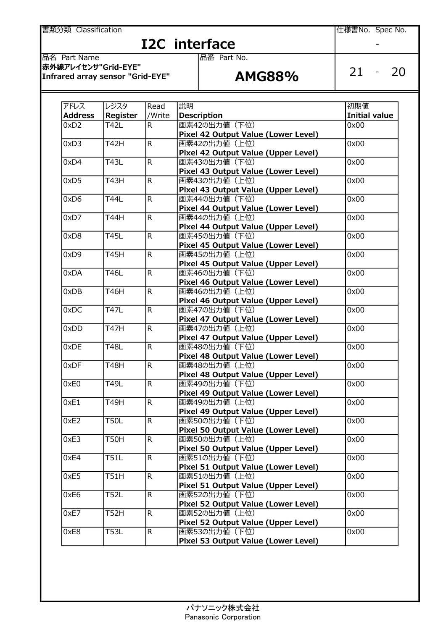書類分類 Classification さらについて しょうしょう しゅうしょう しんしゃ しんぱまい しんぽうしょう しょうしょう

# **I2C** interface

品名 Part Name 品番 Part No. 赤外線アレイセンサ"Grid-EYE"  $\frac{1}{2}$  arrows that is the contract that  $\frac{1}{2}$  arrows arrow and  $\frac{1}{2}$  arrows arrow is a sensor "Grid-EYE"

アドレス |レジスタ |Read |説明 | アドレス |初期値 | Address Register //Write Description Initial value 0xD2 T42L R 画素42の出力値(下位) 0x00 Pixel 42 Output Value (Lower Level) 0xD3 T42H R 画素42の出力値 (上位) 0x00 Pixel 42 Output Value (Upper Level) 0xD4 T43L R 画素43の出力値(下位) 0x00 Pixel 43 Output Value (Lower Level) 0xD5 T43H R 画素43の出力値(上位) 0x00 Pixel 43 Output Value (Upper Level) 0xD6 T44L R 画素44の出力値(下位) 0x00 Pixel 44 Output Value (Lower Level) 0xD7 T44H R 画素44の出力値 (上位) 10x00 Pixel 44 Output Value (Upper Level) 0xD8 T45L R 画素45の出力値(下位) 0x00 Pixel 45 Output Value (Lower Level) 0xD9 T45H R 画素45の出力値(上位) 0x00 Pixel 45 Output Value (Upper Level) 0xDA T46L R 画素46の出力値(下位) 0x00 Pixel 46 Output Value (Lower Level) **OxDB T46H R 画素46の出力値 (上位)** 10x00 Pixel 46 Output Value (Upper Level) 0xDC T47L R 画素47の出力値(下位) 0x00 Pixel 47 Output Value (Lower Level) 0xDD T47H R 画素47の出力値(上位) 0x00 Pixel 47 Output Value (Upper Level) 0xDE T48L R 画素48の出力値 (下位) 0x00 Pixel 48 Output Value (Lower Level) 0xDF T48H R 画素48の出力値(上位) 0x00 Pixel 48 Output Value (Upper Level) 0xE0 T49L R 画素49の出力値(下位) 0x00 Pixel 49 Output Value (Lower Level) 0xE1 T49H R 画素49の出力値(上位) 0x00 Pixel 49 Output Value (Upper Level) 0xE2 T50L R 画素50の出力値(下位) 0x00 Pixel 50 Output Value (Lower Level) 0xE3 T50H R 画素50の出力値(上位) 10x00 Pixel 50 Output Value (Upper Level) 0xE4 T51L R 画素51の出力値 (下位) 10x00 Pixel 51 Output Value (Lower Level) 0xE5 T51H R 画素51の出力値(上位) 0x00 Pixel 51 Output Value (Upper Level) 0xE6 | T52L | R | 画素52の出力値 (下位) | 0x00 | 0x00 Pixel 52 Output Value (Lower Level) 0xE7 T52H R 画素52の出力値 (上位) 10x00 Pixel 52 Output Value (Upper Level) 0xE8 T53L R 画素53の出力値(下位) 0x00 Pixel 53 Output Value (Lower Level)